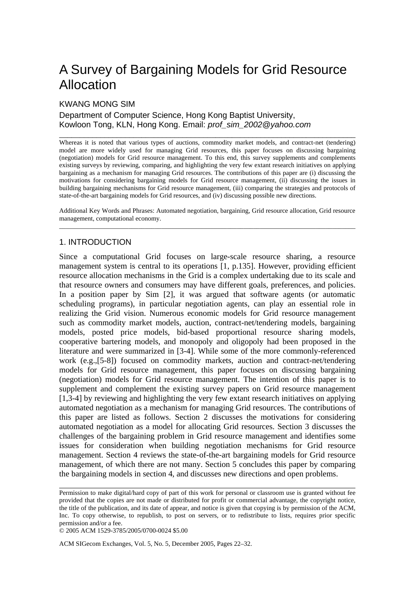# A Survey of Bargaining Models for Grid Resource Allocation

## KWANG MONG SIM

Department of Computer Science, Hong Kong Baptist University, Kowloon Tong, KLN, Hong Kong. Email: *prof\_sim\_2002@yahoo.com*

Whereas it is noted that various types of auctions, commodity market models, and contract-net (tendering) model are more widely used for managing Grid resources, this paper focuses on discussing bargaining (negotiation) models for Grid resource management. To this end, this survey supplements and complements existing surveys by reviewing, comparing, and highlighting the very few extant research initiatives on applying bargaining as a mechanism for managing Grid resources. The contributions of this paper are (i) discussing the motivations for considering bargaining models for Grid resource management, (ii) discussing the issues in building bargaining mechanisms for Grid resource management, (iii) comparing the strategies and protocols of state-of-the-art bargaining models for Grid resources, and (iv) discussing possible new directions.

\_\_\_\_\_\_\_\_\_\_\_\_\_\_\_\_\_\_\_\_\_\_\_\_\_\_\_\_\_\_\_\_\_\_\_\_\_\_\_\_\_\_\_\_\_\_\_\_\_\_\_\_\_\_\_\_\_\_\_\_\_\_\_\_\_\_\_\_\_\_\_\_

Additional Key Words and Phrases: Automated negotiation, bargaining, Grid resource allocation, Grid resource management, computational economy. \_\_\_\_\_\_\_\_\_\_\_\_\_\_\_\_\_\_\_\_\_\_\_\_\_\_\_\_\_\_\_\_\_\_\_\_\_\_\_\_\_\_\_\_\_\_\_\_\_\_\_\_\_\_\_\_\_\_\_\_\_\_\_\_\_\_\_\_\_\_\_\_\_\_\_\_\_\_\_\_\_\_\_\_\_\_\_\_\_\_

# 1. INTRODUCTION

Since a computational Grid focuses on large-scale resource sharing, a resource management system is central to its operations [1, p.135]. However, providing efficient resource allocation mechanisms in the Grid is a complex undertaking due to its scale and that resource owners and consumers may have different goals, preferences, and policies. In a position paper by Sim [2], it was argued that software agents (or automatic scheduling programs), in particular negotiation agents, can play an essential role in realizing the Grid vision. Numerous economic models for Grid resource management such as commodity market models, auction, contract-net/tendering models, bargaining models, posted price models, bid-based proportional resource sharing models, cooperative bartering models, and monopoly and oligopoly had been proposed in the literature and were summarized in [3-4]. While some of the more commonly-referenced work (e.g.,[5-8]) focused on commodity markets, auction and contract-net/tendering models for Grid resource management, this paper focuses on discussing bargaining (negotiation) models for Grid resource management. The intention of this paper is to supplement and complement the existing survey papers on Grid resource management [1,3-4] by reviewing and highlighting the very few extant research initiatives on applying automated negotiation as a mechanism for managing Grid resources. The contributions of this paper are listed as follows. Section 2 discusses the motivations for considering automated negotiation as a model for allocating Grid resources. Section 3 discusses the challenges of the bargaining problem in Grid resource management and identifies some issues for consideration when building negotiation mechanisms for Grid resource management. Section 4 reviews the state-of-the-art bargaining models for Grid resource management, of which there are not many. Section 5 concludes this paper by comparing the bargaining models in section 4, and discusses new directions and open problems.

© 2005 ACM 1529-3785/2005/0700-0024 \$5.00

l

Permission to make digital/hard copy of part of this work for personal or classroom use is granted without fee provided that the copies are not made or distributed for profit or commercial advantage, the copyright notice, the title of the publication, and its date of appear, and notice is given that copying is by permission of the ACM, Inc. To copy otherwise, to republish, to post on servers, or to redistribute to lists, requires prior specific permission and/or a fee.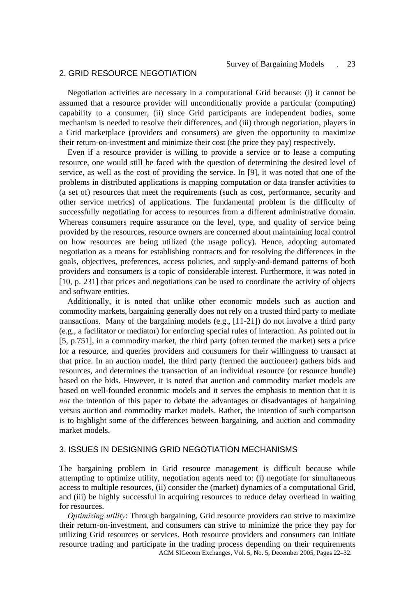# 2. GRID RESOURCE NEGOTIATION

Negotiation activities are necessary in a computational Grid because: (i) it cannot be assumed that a resource provider will unconditionally provide a particular (computing) capability to a consumer, (ii) since Grid participants are independent bodies, some mechanism is needed to resolve their differences, and (iii) through negotiation, players in a Grid marketplace (providers and consumers) are given the opportunity to maximize their return-on-investment and minimize their cost (the price they pay) respectively.

Even if a resource provider is willing to provide a service or to lease a computing resource, one would still be faced with the question of determining the desired level of service, as well as the cost of providing the service. In [9], it was noted that one of the problems in distributed applications is mapping computation or data transfer activities to (a set of) resources that meet the requirements (such as cost, performance, security and other service metrics) of applications. The fundamental problem is the difficulty of successfully negotiating for access to resources from a different administrative domain. Whereas consumers require assurance on the level, type, and quality of service being provided by the resources, resource owners are concerned about maintaining local control on how resources are being utilized (the usage policy). Hence, adopting automated negotiation as a means for establishing contracts and for resolving the differences in the goals, objectives, preferences, access policies, and supply-and-demand patterns of both providers and consumers is a topic of considerable interest. Furthermore, it was noted in [10, p. 231] that prices and negotiations can be used to coordinate the activity of objects and software entities.

 Additionally, it is noted that unlike other economic models such as auction and commodity markets, bargaining generally does not rely on a trusted third party to mediate transactions. Many of the bargaining models (e.g., [11-21]) do not involve a third party (e.g., a facilitator or mediator) for enforcing special rules of interaction. As pointed out in [5, p.751], in a commodity market, the third party (often termed the market) sets a price for a resource, and queries providers and consumers for their willingness to transact at that price. In an auction model, the third party (termed the auctioneer) gathers bids and resources, and determines the transaction of an individual resource (or resource bundle) based on the bids. However, it is noted that auction and commodity market models are based on well-founded economic models and it serves the emphasis to mention that it is *not* the intention of this paper to debate the advantages or disadvantages of bargaining versus auction and commodity market models. Rather, the intention of such comparison is to highlight some of the differences between bargaining, and auction and commodity market models.

# 3. ISSUES IN DESIGNING GRID NEGOTIATION MECHANISMS

The bargaining problem in Grid resource management is difficult because while attempting to optimize utility, negotiation agents need to: (i) negotiate for simultaneous access to multiple resources, (ii) consider the (market) dynamics of a computational Grid, and (iii) be highly successful in acquiring resources to reduce delay overhead in waiting for resources.

 ACM SIGecom Exchanges, Vol. 5, No. 5, December 2005, Pages 22–32. *Optimizing utility*: Through bargaining, Grid resource providers can strive to maximize their return-on-investment, and consumers can strive to minimize the price they pay for utilizing Grid resources or services. Both resource providers and consumers can initiate resource trading and participate in the trading process depending on their requirements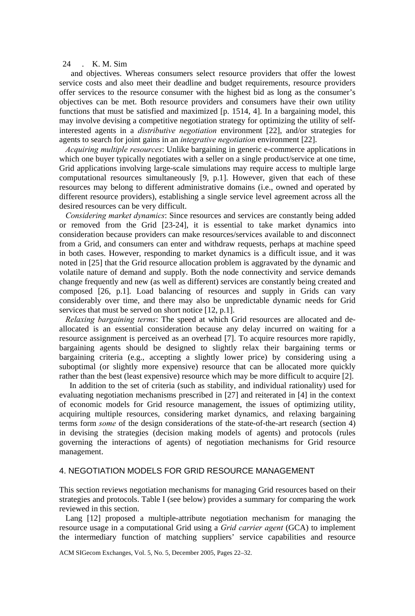and objectives. Whereas consumers select resource providers that offer the lowest service costs and also meet their deadline and budget requirements, resource providers offer services to the resource consumer with the highest bid as long as the consumer's objectives can be met. Both resource providers and consumers have their own utility functions that must be satisfied and maximized [p. 1514, 4]. In a bargaining model, this may involve devising a competitive negotiation strategy for optimizing the utility of selfinterested agents in a *distributive negotiation* environment [22], and/or strategies for agents to search for joint gains in an *integrative negotiation* environment [22].

 *Acquiring multiple resources*: Unlike bargaining in generic e-commerce applications in which one buyer typically negotiates with a seller on a single product/service at one time, Grid applications involving large-scale simulations may require access to multiple large computational resources simultaneously [9, p.1]. However, given that each of these resources may belong to different administrative domains (i.e., owned and operated by different resource providers), establishing a single service level agreement across all the desired resources can be very difficult.

 *Considering market dynamics*: Since resources and services are constantly being added or removed from the Grid [23-24], it is essential to take market dynamics into consideration because providers can make resources/services available to and disconnect from a Grid, and consumers can enter and withdraw requests, perhaps at machine speed in both cases. However, responding to market dynamics is a difficult issue, and it was noted in [25] that the Grid resource allocation problem is aggravated by the dynamic and volatile nature of demand and supply. Both the node connectivity and service demands change frequently and new (as well as different) services are constantly being created and composed [26, p.1]. Load balancing of resources and supply in Grids can vary considerably over time, and there may also be unpredictable dynamic needs for Grid services that must be served on short notice [12, p.1].

 *Relaxing bargaining terms*: The speed at which Grid resources are allocated and deallocated is an essential consideration because any delay incurred on waiting for a resource assignment is perceived as an overhead [7]. To acquire resources more rapidly, bargaining agents should be designed to slightly relax their bargaining terms or bargaining criteria (e.g., accepting a slightly lower price) by considering using a suboptimal (or slightly more expensive) resource that can be allocated more quickly rather than the best (least expensive) resource which may be more difficult to acquire [2].

 In addition to the set of criteria (such as stability, and individual rationality) used for evaluating negotiation mechanisms prescribed in [27] and reiterated in [4] in the context of economic models for Grid resource management, the issues of optimizing utility, acquiring multiple resources, considering market dynamics, and relaxing bargaining terms form *some* of the design considerations of the state-of-the-art research (section 4) in devising the strategies (decision making models of agents) and protocols (rules governing the interactions of agents) of negotiation mechanisms for Grid resource management.

# 4. NEGOTIATION MODELS FOR GRID RESOURCE MANAGEMENT

This section reviews negotiation mechanisms for managing Grid resources based on their strategies and protocols. Table I (see below) provides a summary for comparing the work reviewed in this section.

 Lang [12] proposed a multiple-attribute negotiation mechanism for managing the resource usage in a computational Grid using a *Grid carrier agent* (GCA) to implement the intermediary function of matching suppliers' service capabilities and resource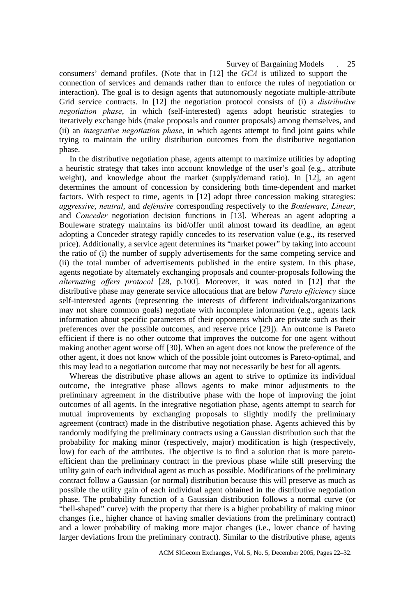consumers' demand profiles. (Note that in [12] the *GCA* is utilized to support the connection of services and demands rather than to enforce the rules of negotiation or interaction). The goal is to design agents that autonomously negotiate multiple-attribute Grid service contracts. In [12] the negotiation protocol consists of (i) a *distributive negotiation phase*, in which (self-interested) agents adopt heuristic strategies to iteratively exchange bids (make proposals and counter proposals) among themselves, and (ii) an *integrative negotiation phase*, in which agents attempt to find joint gains while trying to maintain the utility distribution outcomes from the distributive negotiation phase.

 In the distributive negotiation phase, agents attempt to maximize utilities by adopting a heuristic strategy that takes into account knowledge of the user's goal (e.g., attribute weight), and knowledge about the market (supply/demand ratio). In [12], an agent determines the amount of concession by considering both time-dependent and market factors. With respect to time, agents in [12] adopt three concession making strategies: *aggressive*, *neutral*, and *defensive* corresponding respectively to the *Bouleware*, *Linear*, and *Conceder* negotiation decision functions in [13]. Whereas an agent adopting a Bouleware strategy maintains its bid/offer until almost toward its deadline, an agent adopting a Conceder strategy rapidly concedes to its reservation value (e.g., its reserved price). Additionally, a service agent determines its "market power" by taking into account the ratio of (i) the number of supply advertisements for the same competing service and (ii) the total number of advertisements published in the entire system. In this phase, agents negotiate by alternately exchanging proposals and counter-proposals following the *alternating offers protocol* [28, p.100]. Moreover, it was noted in [12] that the distributive phase may generate service allocations that are below *Pareto efficiency* since self-interested agents (representing the interests of different individuals/organizations may not share common goals) negotiate with incomplete information (e.g., agents lack information about specific parameters of their opponents which are private such as their preferences over the possible outcomes, and reserve price [29]). An outcome is Pareto efficient if there is no other outcome that improves the outcome for one agent without making another agent worse off [30]. When an agent does not know the preference of the other agent, it does not know which of the possible joint outcomes is Pareto-optimal, and this may lead to a negotiation outcome that may not necessarily be best for all agents.

 Whereas the distributive phase allows an agent to strive to optimize its individual outcome, the integrative phase allows agents to make minor adjustments to the preliminary agreement in the distributive phase with the hope of improving the joint outcomes of all agents. In the integrative negotiation phase, agents attempt to search for mutual improvements by exchanging proposals to slightly modify the preliminary agreement (contract) made in the distributive negotiation phase. Agents achieved this by randomly modifying the preliminary contracts using a Gaussian distribution such that the probability for making minor (respectively, major) modification is high (respectively, low) for each of the attributes. The objective is to find a solution that is more paretoefficient than the preliminary contract in the previous phase while still preserving the utility gain of each individual agent as much as possible. Modifications of the preliminary contract follow a Gaussian (or normal) distribution because this will preserve as much as possible the utility gain of each individual agent obtained in the distributive negotiation phase. The probability function of a Gaussian distribution follows a normal curve (or "bell-shaped" curve) with the property that there is a higher probability of making minor changes (i.e., higher chance of having smaller deviations from the preliminary contract) and a lower probability of making more major changes (i.e., lower chance of having larger deviations from the preliminary contract). Similar to the distributive phase, agents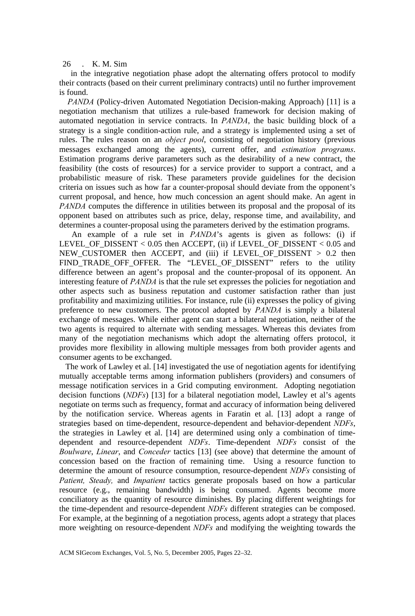in the integrative negotiation phase adopt the alternating offers protocol to modify their contracts (based on their current preliminary contracts) until no further improvement is found.

 *PANDA* (Policy-driven Automated Negotiation Decision-making Approach) [11] is a negotiation mechanism that utilizes a rule-based framework for decision making of automated negotiation in service contracts. In *PANDA*, the basic building block of a strategy is a single condition-action rule, and a strategy is implemented using a set of rules. The rules reason on an *object pool*, consisting of negotiation history (previous messages exchanged among the agents), current offer, and *estimation programs*. Estimation programs derive parameters such as the desirability of a new contract, the feasibility (the costs of resources) for a service provider to support a contract, and a probabilistic measure of risk. These parameters provide guidelines for the decision criteria on issues such as how far a counter-proposal should deviate from the opponent's current proposal, and hence, how much concession an agent should make. An agent in *PANDA* computes the difference in utilities between its proposal and the proposal of its opponent based on attributes such as price, delay, response time, and availability, and determines a counter-proposal using the parameters derived by the estimation programs.

 An example of a rule set in *PANDA*'s agents is given as follows: (i) if LEVEL OF DISSENT <  $0.05$  then ACCEPT, (ii) if LEVEL OF DISSENT <  $0.05$  and NEW\_CUSTOMER then ACCEPT, and (iii) if LEVEL\_OF\_DISSENT > 0.2 then FIND\_TRADE\_OFF\_OFFER. The "LEVEL\_OF\_DISSENT" refers to the utility difference between an agent's proposal and the counter-proposal of its opponent. An interesting feature of *PANDA* is that the rule set expresses the policies for negotiation and other aspects such as business reputation and customer satisfaction rather than just profitability and maximizing utilities. For instance, rule (ii) expresses the policy of giving preference to new customers. The protocol adopted by *PANDA* is simply a bilateral exchange of messages. While either agent can start a bilateral negotiation, neither of the two agents is required to alternate with sending messages. Whereas this deviates from many of the negotiation mechanisms which adopt the alternating offers protocol, it provides more flexibility in allowing multiple messages from both provider agents and consumer agents to be exchanged.

 The work of Lawley et al. [14] investigated the use of negotiation agents for identifying mutually acceptable terms among information publishers (providers) and consumers of message notification services in a Grid computing environment. Adopting negotiation decision functions (*NDFs*) [13] for a bilateral negotiation model, Lawley et al's agents negotiate on terms such as frequency, format and accuracy of information being delivered by the notification service. Whereas agents in Faratin et al. [13] adopt a range of strategies based on time-dependent, resource-dependent and behavior-dependent *NDFs*, the strategies in Lawley et al. [14] are determined using only a combination of timedependent and resource-dependent *NDFs*. Time-dependent *NDFs* consist of the *Boulware*, *Linear*, and *Conceder* tactics [13] (see above) that determine the amount of concession based on the fraction of remaining time. Using a resource function to determine the amount of resource consumption, resource-dependent *NDFs* consisting of *Patient, Steady,* and *Impatient* tactics generate proposals based on how a particular resource (e.g., remaining bandwidth) is being consumed. Agents become more conciliatory as the quantity of resource diminishes. By placing different weightings for the time-dependent and resource-dependent *NDFs* different strategies can be composed. For example, at the beginning of a negotiation process, agents adopt a strategy that places more weighting on resource-dependent *NDFs* and modifying the weighting towards the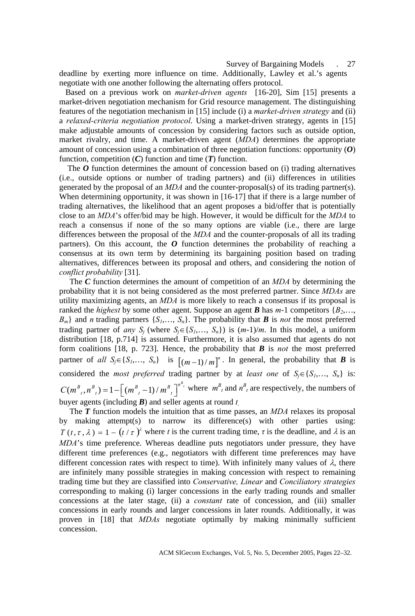deadline by exerting more influence on time. Additionally, Lawley et al.'s agents negotiate with one another following the alternating offers protocol.

Based on a previous work on *market-driven agents* [16-20], Sim [15] presents a market-driven negotiation mechanism for Grid resource management. The distinguishing features of the negotiation mechanism in [15] include (i) a *market-driven strategy* and (ii) a *relaxed-criteria negotiation protocol*. Using a market-driven strategy, agents in [15] make adjustable amounts of concession by considering factors such as outside option, market rivalry, and time. A market-driven agent (*MDA*) determines the appropriate amount of concession using a combination of three negotiation functions: opportunity (*O*) function, competition  $(C)$  function and time  $(T)$  function.

The *O* function determines the amount of concession based on (i) trading alternatives (i.e., outside options or number of trading partners) and (ii) differences in utilities generated by the proposal of an *MDA* and the counter-proposal(s) of its trading partner(s). When determining opportunity, it was shown in [16-17] that if there is a large number of trading alternatives, the likelihood that an agent proposes a bid/offer that is potentially close to an *MDA*'s offer/bid may be high. However, it would be difficult for the *MDA* to reach a consensus if none of the so many options are viable (i.e., there are large differences between the proposal of the *MDA* and the counter-proposals of all its trading partners). On this account, the  $O$  function determines the probability of reaching a consensus at its own term by determining its bargaining position based on trading alternatives, differences between its proposal and others, and considering the notion of *conflict probability* [31].

 The *C* function determines the amount of competition of an *MDA* by determining the probability that it is not being considered as the most preferred partner. Since *MDAs* are utility maximizing agents, an *MDA* is more likely to reach a consensus if its proposal is ranked the *highest* by some other agent. Suppose an agent  $\bf{B}$  has  $m-1$  competitors  $\{B_2, \ldots, B_m\}$  $B_m$ } and *n* trading partners  $\{S_1, \ldots, S_n\}$ . The probability that *B* is *not* the most preferred trading partner of *any*  $S_i$  (where  $S_i \in \{S_1, \ldots, S_n\}$ ) is  $(m-1)/m$ . In this model, a uniform distribution [18, p.714] is assumed. Furthermore, it is also assumed that agents do not form coalitions [18, p. 723]. Hence, the probability that *B* is *not* the most preferred partner of *all*  $S_j \in \{S_1, ..., S_n\}$  is  $\left[ (m-1)/m \right]^n$ . In general, the probability that *B* is considered the *most preferred* trading partner by at *least one* of  $S_i \in \{S_1, \ldots, S_n\}$  is:  $C(m^B_{t_1}, n^B_{t_1}) = 1 - \left[ (m^B_{t_1} - 1) / m^B_{t_1} \right]^{n^B_{t_1}}$  where  $m^B_{t_1}$  and  $n^B_{t_1}$  are respectively, the numbers of buyer agents (including *B*) and seller agents at round *t*.

 The *T* function models the intuition that as time passes, an *MDA* relaxes its proposal by making attempt(s) to narrow its difference(s) with other parties using:  $T(t, \tau, \lambda) = 1 - (t/\tau)^{\lambda}$  where *t* is the current trading time,  $\tau$  is the deadline, and  $\lambda$  is an *MDA*'s time preference. Whereas deadline puts negotiators under pressure, they have different time preferences (e.g., negotiators with different time preferences may have different concession rates with respect to time). With infinitely many values of  $\lambda$ , there are infinitely many possible strategies in making concession with respect to remaining trading time but they are classified into *Conservative, Linear* and *Conciliatory strategies*  corresponding to making (i) larger concessions in the early trading rounds and smaller concessions at the later stage, (ii) a *constant* rate of concession, and (iii) smaller concessions in early rounds and larger concessions in later rounds. Additionally, it was proven in [18] that *MDAs* negotiate optimally by making minimally sufficient concession.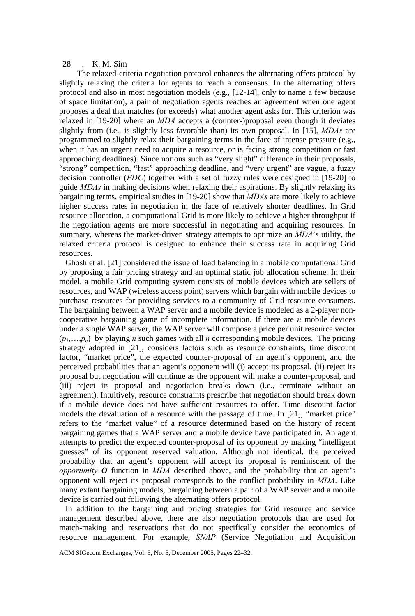The relaxed-criteria negotiation protocol enhances the alternating offers protocol by slightly relaxing the criteria for agents to reach a consensus. In the alternating offers protocol and also in most negotiation models (e.g., [12-14], only to name a few because of space limitation), a pair of negotiation agents reaches an agreement when one agent proposes a deal that matches (or exceeds) what another agent asks for. This criterion was relaxed in [19-20] where an *MDA* accepts a (counter-)proposal even though it deviates slightly from (i.e., is slightly less favorable than) its own proposal. In [15], *MDAs* are programmed to slightly relax their bargaining terms in the face of intense pressure (e.g., when it has an urgent need to acquire a resource, or is facing strong competition or fast approaching deadlines). Since notions such as "very slight" difference in their proposals, "strong" competition, "fast" approaching deadline, and "very urgent" are vague, a fuzzy decision controller (*FDC*) together with a set of fuzzy rules were designed in [19-20] to guide *MDAs* in making decisions when relaxing their aspirations. By slightly relaxing its bargaining terms, empirical studies in [19-20] show that *MDAs* are more likely to achieve higher success rates in negotiation in the face of relatively shorter deadlines. In Grid resource allocation, a computational Grid is more likely to achieve a higher throughput if the negotiation agents are more successful in negotiating and acquiring resources. In summary, whereas the market-driven strategy attempts to optimize an *MDA*'s utility, the relaxed criteria protocol is designed to enhance their success rate in acquiring Grid resources.

 Ghosh et al. [21] considered the issue of load balancing in a mobile computational Grid by proposing a fair pricing strategy and an optimal static job allocation scheme. In their model, a mobile Grid computing system consists of mobile devices which are sellers of resources, and WAP (wireless access point) servers which bargain with mobile devices to purchase resources for providing services to a community of Grid resource consumers. The bargaining between a WAP server and a mobile device is modeled as a 2-player noncooperative bargaining game of incomplete information. If there are *n* mobile devices under a single WAP server, the WAP server will compose a price per unit resource vector  $(p_1, \ldots, p_n)$  by playing *n* such games with all *n* corresponding mobile devices. The pricing strategy adopted in [21], considers factors such as resource constraints, time discount factor, "market price", the expected counter-proposal of an agent's opponent, and the perceived probabilities that an agent's opponent will (i) accept its proposal, (ii) reject its proposal but negotiation will continue as the opponent will make a counter-proposal, and (iii) reject its proposal and negotiation breaks down (i.e., terminate without an agreement). Intuitively, resource constraints prescribe that negotiation should break down if a mobile device does not have sufficient resources to offer. Time discount factor models the devaluation of a resource with the passage of time. In [21], "market price" refers to the "market value" of a resource determined based on the history of recent bargaining games that a WAP server and a mobile device have participated in. An agent attempts to predict the expected counter-proposal of its opponent by making "intelligent guesses" of its opponent reserved valuation. Although not identical, the perceived probability that an agent's opponent will accept its proposal is reminiscent of the *opportunity O* function in *MDA* described above, and the probability that an agent's opponent will reject its proposal corresponds to the conflict probability in *MDA*. Like many extant bargaining models, bargaining between a pair of a WAP server and a mobile device is carried out following the alternating offers protocol.

 In addition to the bargaining and pricing strategies for Grid resource and service management described above, there are also negotiation protocols that are used for match-making and reservations that do not specifically consider the economics of resource management. For example, *SNAP* (Service Negotiation and Acquisition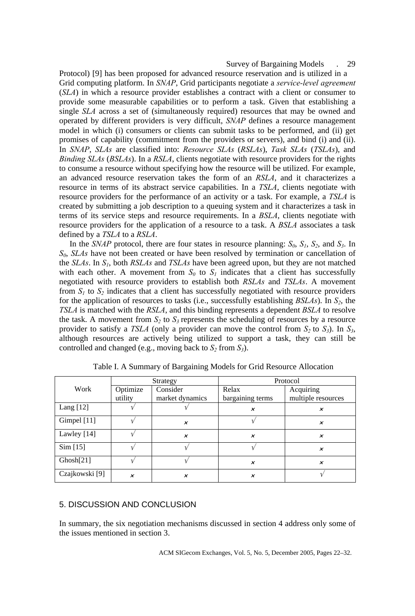#### Survey of Bargaining Models .  $29$

Protocol) [9] has been proposed for advanced resource reservation and is utilized in a Grid computing platform. In *SNAP*, Grid participants negotiate a *service-level agreement*  (*SLA*) in which a resource provider establishes a contract with a client or consumer to provide some measurable capabilities or to perform a task. Given that establishing a single *SLA* across a set of (simultaneously required) resources that may be owned and operated by different providers is very difficult, *SNAP* defines a resource management model in which (i) consumers or clients can submit tasks to be performed, and (ii) get promises of capability (commitment from the providers or servers), and bind (i) and (ii). In *SNAP*, *SLAs* are classified into: *Resource SLAs* (*RSLAs*), *Task SLAs* (*TSLAs*), and *Binding SLAs* (*BSLAs*). In a *RSLA*, clients negotiate with resource providers for the rights to consume a resource without specifying how the resource will be utilized. For example, an advanced resource reservation takes the form of an *RSLA*, and it characterizes a resource in terms of its abstract service capabilities. In a *TSLA*, clients negotiate with resource providers for the performance of an activity or a task. For example, a *TSLA* is created by submitting a job description to a queuing system and it characterizes a task in terms of its service steps and resource requirements. In a *BSLA*, clients negotiate with resource providers for the application of a resource to a task. A *BSLA* associates a task defined by a *TSLA* to a *RSLA*.

In the *SNAP* protocol, there are four states in resource planning:  $S_0$ ,  $S_1$ ,  $S_2$ , and  $S_3$ . In *S0*, *SLAs* have not been created or have been resolved by termination or cancellation of the *SLAs*. In *S1*, both *RSLAs* and *TSLAs* have been agreed upon, but they are not matched with each other. A movement from  $S_0$  to  $S_1$  indicates that a client has successfully negotiated with resource providers to establish both *RSLAs* and *TSLAs*. A movement from  $S_1$  to  $S_2$  indicates that a client has successfully negotiated with resource providers for the application of resources to tasks (i.e., successfully establishing  $BSLAS$ ). In  $S_2$ , the *TSLA* is matched with the *RSLA*, and this binding represents a dependent *BSLA* to resolve the task. A movement from  $S_2$  to  $S_3$  represents the scheduling of resources by a resource provider to satisfy a *TSLA* (only a provider can move the control from  $S_2$  to  $S_3$ ). In  $S_3$ , although resources are actively being utilized to support a task, they can still be controlled and changed (e.g., moving back to  $S_2$  from  $S_3$ ).

|                | Strategy |                 | Protocol         |                           |
|----------------|----------|-----------------|------------------|---------------------------|
| Work           | Optimize | Consider        | Relax            | Acquiring                 |
|                | utility  | market dynamics | bargaining terms | multiple resources        |
| Lang $[12]$    |          |                 | ×                | ×                         |
| Gimpel [11]    |          | $\pmb{\times}$  |                  | $\boldsymbol{x}$          |
| Lawley $[14]$  |          | $\pmb{\times}$  | $\boldsymbol{x}$ | $\boldsymbol{\mathsf{x}}$ |
| Sim [15]       |          |                 |                  | $\boldsymbol{\mathsf{x}}$ |
| Ghosh[21]      |          |                 | $\boldsymbol{x}$ | ×                         |
| Czajkowski [9] | ×        | ×               | ×                |                           |

Table I. A Summary of Bargaining Models for Grid Resource Allocation

# 5. DISCUSSION AND CONCLUSION

In summary, the six negotiation mechanisms discussed in section 4 address only some of the issues mentioned in section 3.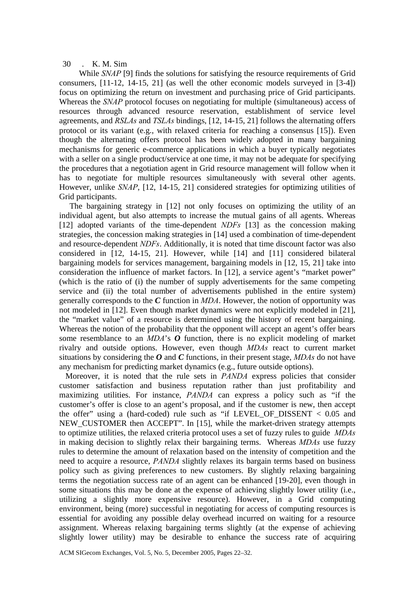While *SNAP* [9] finds the solutions for satisfying the resource requirements of Grid consumers, [11-12, 14-15, 21] (as well the other economic models surveyed in [3-4]) focus on optimizing the return on investment and purchasing price of Grid participants. Whereas the *SNAP* protocol focuses on negotiating for multiple (simultaneous) access of resources through advanced resource reservation, establishment of service level agreements, and *RSLAs* and *TSLAs* bindings, [12, 14-15, 21] follows the alternating offers protocol or its variant (e.g., with relaxed criteria for reaching a consensus [15]). Even though the alternating offers protocol has been widely adopted in many bargaining mechanisms for generic e-commerce applications in which a buyer typically negotiates with a seller on a single product/service at one time, it may not be adequate for specifying the procedures that a negotiation agent in Grid resource management will follow when it has to negotiate for multiple resources simultaneously with several other agents. However, unlike *SNAP*, [12, 14-15, 21] considered strategies for optimizing utilities of Grid participants.

 The bargaining strategy in [12] not only focuses on optimizing the utility of an individual agent, but also attempts to increase the mutual gains of all agents. Whereas [12] adopted variants of the time-dependent *NDFs* [13] as the concession making strategies, the concession making strategies in [14] used a combination of time-dependent and resource-dependent *NDFs*. Additionally, it is noted that time discount factor was also considered in [12, 14-15, 21]. However, while [14] and [11] considered bilateral bargaining models for services management, bargaining models in [12, 15, 21] take into consideration the influence of market factors. In [12], a service agent's "market power" (which is the ratio of (i) the number of supply advertisements for the same competing service and (ii) the total number of advertisements published in the entire system) generally corresponds to the *C* function in *MDA*. However, the notion of opportunity was not modeled in [12]. Even though market dynamics were not explicitly modeled in [21], the "market value" of a resource is determined using the history of recent bargaining. Whereas the notion of the probability that the opponent will accept an agent's offer bears some resemblance to an *MDA*'s *O* function, there is no explicit modeling of market rivalry and outside options. However, even though *MDAs* react to current market situations by considering the *O* and *C* functions, in their present stage, *MDAs* do not have any mechanism for predicting market dynamics (e.g., future outside options).

 Moreover, it is noted that the rule sets in *PANDA* express policies that consider customer satisfaction and business reputation rather than just profitability and maximizing utilities. For instance, *PANDA* can express a policy such as "if the customer's offer is close to an agent's proposal, and if the customer is new, then accept the offer" using a (hard-coded) rule such as "if LEVEL OF DISSENT  $< 0.05$  and NEW\_CUSTOMER then ACCEPT". In [15], while the market-driven strategy attempts to optimize utilities, the relaxed criteria protocol uses a set of fuzzy rules to guide *MDAs* in making decision to slightly relax their bargaining terms. Whereas *MDAs* use fuzzy rules to determine the amount of relaxation based on the intensity of competition and the need to acquire a resource, *PANDA* slightly relaxes its bargain terms based on business policy such as giving preferences to new customers. By slightly relaxing bargaining terms the negotiation success rate of an agent can be enhanced [19-20], even though in some situations this may be done at the expense of achieving slightly lower utility (i.e., utilizing a slightly more expensive resource). However, in a Grid computing environment, being (more) successful in negotiating for access of computing resources is essential for avoiding any possible delay overhead incurred on waiting for a resource assignment. Whereas relaxing bargaining terms slightly (at the expense of achieving slightly lower utility) may be desirable to enhance the success rate of acquiring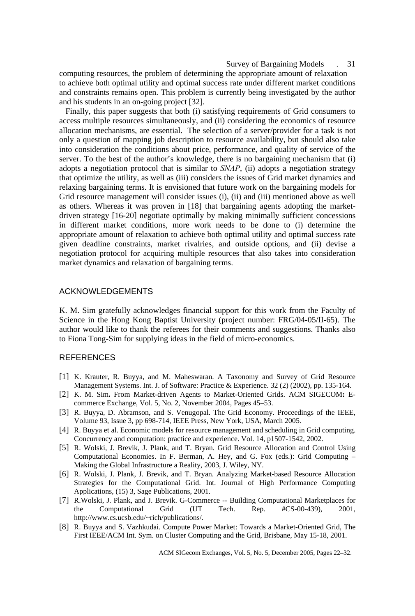computing resources, the problem of determining the appropriate amount of relaxation to achieve both optimal utility and optimal success rate under different market conditions and constraints remains open. This problem is currently being investigated by the author and his students in an on-going project [32].

 Finally, this paper suggests that both (i) satisfying requirements of Grid consumers to access multiple resources simultaneously, and (ii) considering the economics of resource allocation mechanisms, are essential. The selection of a server/provider for a task is not only a question of mapping job description to resource availability, but should also take into consideration the conditions about price, performance, and quality of service of the server. To the best of the author's knowledge, there is no bargaining mechanism that (i) adopts a negotiation protocol that is similar to *SNAP*, (ii) adopts a negotiation strategy that optimize the utility, as well as (iii) considers the issues of Grid market dynamics and relaxing bargaining terms. It is envisioned that future work on the bargaining models for Grid resource management will consider issues (i), (ii) and (iii) mentioned above as well as others. Whereas it was proven in [18] that bargaining agents adopting the marketdriven strategy [16-20] negotiate optimally by making minimally sufficient concessions in different market conditions, more work needs to be done to (i) determine the appropriate amount of relaxation to achieve both optimal utility and optimal success rate given deadline constraints, market rivalries, and outside options, and (ii) devise a negotiation protocol for acquiring multiple resources that also takes into consideration market dynamics and relaxation of bargaining terms.

### ACKNOWLEDGEMENTS

K. M. Sim gratefully acknowledges financial support for this work from the Faculty of Science in the Hong Kong Baptist University (project number: FRG/04-05/II-65). The author would like to thank the referees for their comments and suggestions. Thanks also to Fiona Tong-Sim for supplying ideas in the field of micro-economics.

# **REFERENCES**

- [1] K. Krauter, R. Buyya, and M. Maheswaran. A Taxonomy and Survey of Grid Resource Management Systems. Int. J. of Software: Practice & Experience. 32 (2) (2002), pp. 135-164.
- [2] K. M. Sim**.** From Market-driven Agents to Market-Oriented Grids. ACM SIGECOM**:** Ecommerce Exchange, Vol. 5, No. 2, November 2004, Pages 45–53.
- [3] R. Buyya, D. Abramson, and S. Venugopal. The Grid Economy. Proceedings of the IEEE, Volume 93, Issue 3, pp 698-714, IEEE Press, New York, USA, March 2005.
- [4] R. Buyya et al. Economic models for resource management and scheduling in Grid computing. Concurrency and computation: practice and experience. Vol. 14, p1507-1542, 2002.
- [5] R. Wolski, J. Brevik, J. Plank, and T. Bryan. Grid Resource Allocation and Control Using Computational Economies. In F. Berman, A. Hey, and G. Fox (eds.): Grid Computing – Making the Global Infrastructure a Reality, 2003, J. Wiley, NY.
- [6] R. Wolski, J. Plank, J. Brevik, and T. Bryan. Analyzing Market-based Resource Allocation Strategies for the Computational Grid. Int. Journal of High Performance Computing Applications, (15) 3, Sage Publications, 2001.
- [7] R.Wolski, J. Plank, and J. Brevik. G-Commerce -- Building Computational Marketplaces for the Computational Grid (UT Tech. Rep. #CS-00-439), 2001, http://www.cs.ucsb.edu/~rich/publications/.
- [8] R. Buyya and S. Vazhkudai. Compute Power Market: Towards a Market-Oriented Grid, The First IEEE/ACM Int. Sym. on Cluster Computing and the Grid, Brisbane, May 15-18, 2001.